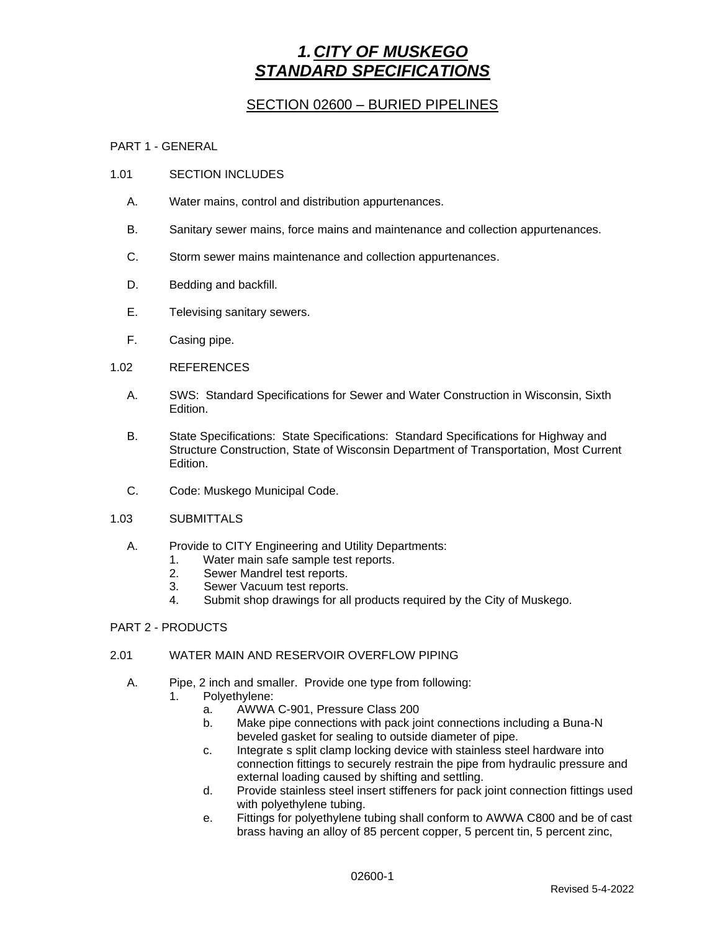# *1.CITY OF MUSKEGO STANDARD SPECIFICATIONS*

## SECTION 02600 – BURIED PIPELINES

## PART 1 - GENERAL

### 1.01 SECTION INCLUDES

- A. Water mains, control and distribution appurtenances.
- B. Sanitary sewer mains, force mains and maintenance and collection appurtenances.
- C. Storm sewer mains maintenance and collection appurtenances.
- D. Bedding and backfill.
- E. Televising sanitary sewers.
- F. Casing pipe.

### 1.02 REFERENCES

- A. SWS: Standard Specifications for Sewer and Water Construction in Wisconsin, Sixth Edition.
- B. State Specifications: State Specifications: Standard Specifications for Highway and Structure Construction, State of Wisconsin Department of Transportation, Most Current Edition.
- C. Code: Muskego Municipal Code.
- 1.03 SUBMITTALS
	- A. Provide to CITY Engineering and Utility Departments:
		- 1. Water main safe sample test reports.
		- 2. Sewer Mandrel test reports.
		- 3. Sewer Vacuum test reports.
		- 4. Submit shop drawings for all products required by the City of Muskego.

## PART 2 - PRODUCTS

## 2.01 WATER MAIN AND RESERVOIR OVERFLOW PIPING

- A. Pipe, 2 inch and smaller. Provide one type from following: 1. Polyethylene:
	- a. AWWA C-901, Pressure Class 200
		- b. Make pipe connections with pack joint connections including a Buna-N
		- beveled gasket for sealing to outside diameter of pipe.
		- c. Integrate s split clamp locking device with stainless steel hardware into connection fittings to securely restrain the pipe from hydraulic pressure and external loading caused by shifting and settling.
		- d. Provide stainless steel insert stiffeners for pack joint connection fittings used with polyethylene tubing.
		- e. Fittings for polyethylene tubing shall conform to AWWA C800 and be of cast brass having an alloy of 85 percent copper, 5 percent tin, 5 percent zinc,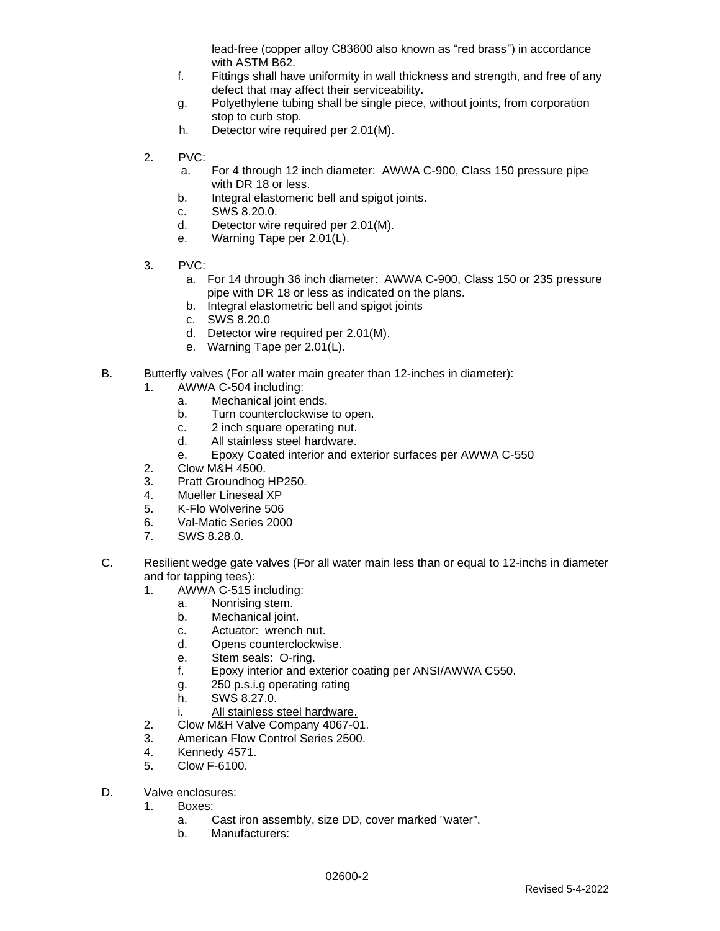lead-free (copper alloy C83600 also known as "red brass") in accordance with ASTM B62.

- f. Fittings shall have uniformity in wall thickness and strength, and free of any defect that may affect their serviceability.
- g. Polyethylene tubing shall be single piece, without joints, from corporation stop to curb stop.
- h. Detector wire required per 2.01(M).
- 2. PVC:
	- a. For 4 through 12 inch diameter: AWWA C-900, Class 150 pressure pipe with DR 18 or less.
	- b. Integral elastomeric bell and spigot joints.
	- c. SWS 8.20.0.
	- d. Detector wire required per 2.01(M).
	- e. Warning Tape per 2.01(L).
- 3. PVC:
	- a. For 14 through 36 inch diameter: AWWA C-900, Class 150 or 235 pressure pipe with DR 18 or less as indicated on the plans.
	- b. Integral elastometric bell and spigot joints
	- c. SWS 8.20.0
	- d. Detector wire required per 2.01(M).
	- e. Warning Tape per 2.01(L).
- B. Butterfly valves (For all water main greater than 12-inches in diameter):
	- 1. AWWA C-504 including:
		- a. Mechanical joint ends.
		- b. Turn counterclockwise to open.
		- c. 2 inch square operating nut.
		- d. All stainless steel hardware.
		- e. Epoxy Coated interior and exterior surfaces per AWWA C-550
	- 2. Clow M&H 4500.
	- 3. Pratt Groundhog HP250.
	- 4. Mueller Lineseal XP
	- 5. K-Flo Wolverine 506
	- 6. Val-Matic Series 2000
	- 7. SWS 8.28.0.
- C. Resilient wedge gate valves (For all water main less than or equal to 12-inchs in diameter and for tapping tees):
	- 1. AWWA C-515 including:
		- a. Nonrising stem.
		- b. Mechanical joint.
		- c. Actuator: wrench nut.
		- d. Opens counterclockwise.
		- e. Stem seals: O-ring.
		- f. Epoxy interior and exterior coating per ANSI/AWWA C550.
		- g. 250 p.s.i.g operating rating
		- h. SWS 8.27.0.
		- i. All stainless steel hardware.
	- 2. Clow M&H Valve Company 4067-01.
	- 3. American Flow Control Series 2500.
	- 4. Kennedy 4571.
	- 5. Clow F-6100.
- D. Valve enclosures:
	- 1. Boxes:
		- a. Cast iron assembly, size DD, cover marked "water".
		- b. Manufacturers: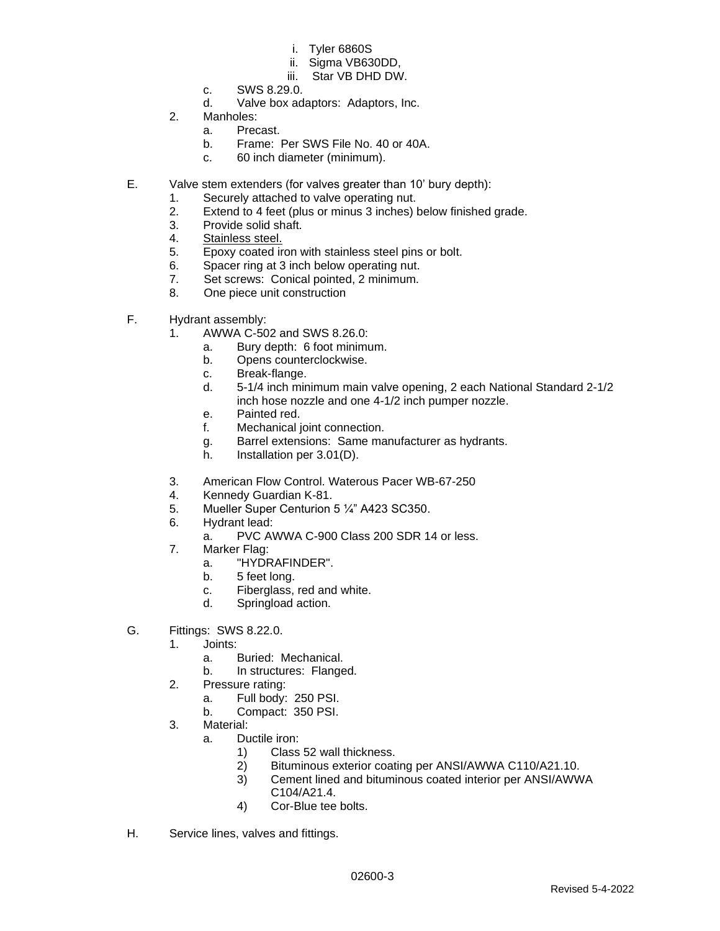- i. Tyler 6860S
- ii. Sigma VB630DD,
- iii. Star VB DHD DW.
- c. SWS 8.29.0.
- d. Valve box adaptors: Adaptors, Inc.
- 2. Manholes:
	- a. Precast.
	- b. Frame: Per SWS File No. 40 or 40A.
	- c. 60 inch diameter (minimum).
- E. Valve stem extenders (for valves greater than 10' bury depth):
	- 1. Securely attached to valve operating nut.
	- 2. Extend to 4 feet (plus or minus 3 inches) below finished grade.
	- 3. Provide solid shaft.
	- 4. Stainless steel.
	- 5. Epoxy coated iron with stainless steel pins or bolt.
	- 6. Spacer ring at 3 inch below operating nut.
	- 7. Set screws: Conical pointed, 2 minimum.
	- 8. One piece unit construction
- F. Hydrant assembly:
	- 1. AWWA C-502 and SWS 8.26.0:
		- a. Bury depth: 6 foot minimum.
		- b. Opens counterclockwise.
		- c. Break-flange.
		- d. 5-1/4 inch minimum main valve opening, 2 each National Standard 2-1/2 inch hose nozzle and one 4-1/2 inch pumper nozzle.
		- e. Painted red.
		- f. Mechanical joint connection.
		- g. Barrel extensions: Same manufacturer as hydrants.
		- h. Installation per 3.01(D).
	- 3. American Flow Control. Waterous Pacer WB-67-250
	- 4. Kennedy Guardian K-81.
	- 5. Mueller Super Centurion 5 ¼" A423 SC350.
	- 6. Hydrant lead:
		- a. PVC AWWA C-900 Class 200 SDR 14 or less.
	- 7. Marker Flag:
		- a. "HYDRAFINDER".
		- b. 5 feet long.
		- c. Fiberglass, red and white.
		- d. Springload action.
- G. Fittings: SWS 8.22.0.
	- 1. Joints:
		- a. Buried: Mechanical.
		- b. In structures: Flanged.
	- 2. Pressure rating:
		- a. Full body: 250 PSI.
		- b. Compact: 350 PSI.
	- 3. Material:
		- a. Ductile iron:
			- 1) Class 52 wall thickness.
			- 2) Bituminous exterior coating per ANSI/AWWA C110/A21.10.
			- 3) Cement lined and bituminous coated interior per ANSI/AWWA C104/A21.4.
			- 4) Cor-Blue tee bolts.
- H. Service lines, valves and fittings.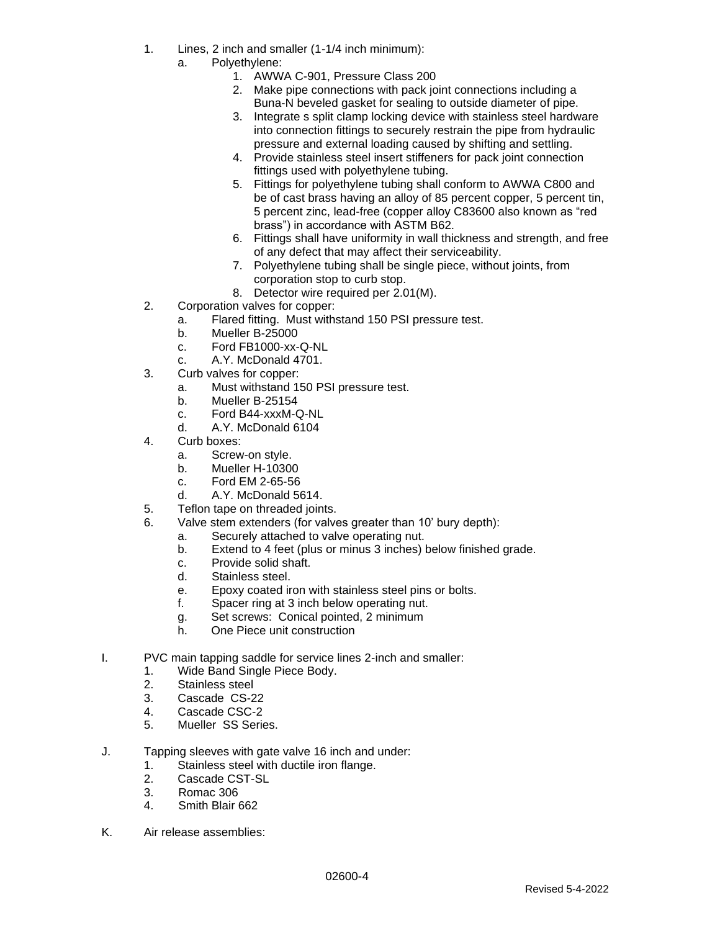- 1. Lines, 2 inch and smaller (1-1/4 inch minimum):
	- a. Polyethylene:
		- 1. AWWA C-901, Pressure Class 200
		- 2. Make pipe connections with pack joint connections including a Buna-N beveled gasket for sealing to outside diameter of pipe.
		- 3. Integrate s split clamp locking device with stainless steel hardware into connection fittings to securely restrain the pipe from hydraulic pressure and external loading caused by shifting and settling.
		- 4. Provide stainless steel insert stiffeners for pack joint connection fittings used with polyethylene tubing.
		- 5. Fittings for polyethylene tubing shall conform to AWWA C800 and be of cast brass having an alloy of 85 percent copper, 5 percent tin, 5 percent zinc, lead-free (copper alloy C83600 also known as "red brass") in accordance with ASTM B62.
		- 6. Fittings shall have uniformity in wall thickness and strength, and free of any defect that may affect their serviceability.
		- 7. Polyethylene tubing shall be single piece, without joints, from corporation stop to curb stop.
		- 8. Detector wire required per 2.01(M).
- 2. Corporation valves for copper:
	- a. Flared fitting. Must withstand 150 PSI pressure test.
	- b. Mueller B-25000
	- c. Ford FB1000-xx-Q-NL
	- c. A.Y. McDonald 4701.
- 3. Curb valves for copper:
	- a. Must withstand 150 PSI pressure test.
	- b. Mueller B-25154
	- c. Ford B44-xxxM-Q-NL
	- d. A.Y. McDonald 6104
- 4. Curb boxes:
	- a. Screw-on style.
	- b. Mueller H-10300
	- c. Ford EM 2-65-56
	- d. A.Y. McDonald 5614.
- 5. Teflon tape on threaded joints.
- 6. Valve stem extenders (for valves greater than 10' bury depth):
	- a. Securely attached to valve operating nut.
		- b. Extend to 4 feet (plus or minus 3 inches) below finished grade.
		- c. Provide solid shaft.
		- d. Stainless steel.
		- e. Epoxy coated iron with stainless steel pins or bolts.
		- f. Spacer ring at 3 inch below operating nut.
		- g. Set screws: Conical pointed, 2 minimum
		- h. One Piece unit construction
- I. PVC main tapping saddle for service lines 2-inch and smaller:
	- 1. Wide Band Single Piece Body.
	- 2. Stainless steel
	- 3. Cascade CS-22
	- 4. Cascade CSC-2<br>5. Mueller SS Serie
	- Mueller SS Series.
- J. Tapping sleeves with gate valve 16 inch and under:
	- 1. Stainless steel with ductile iron flange.
	- 2. Cascade CST-SL
	- 3. Romac 306
	- 4. Smith Blair 662
- K. Air release assemblies: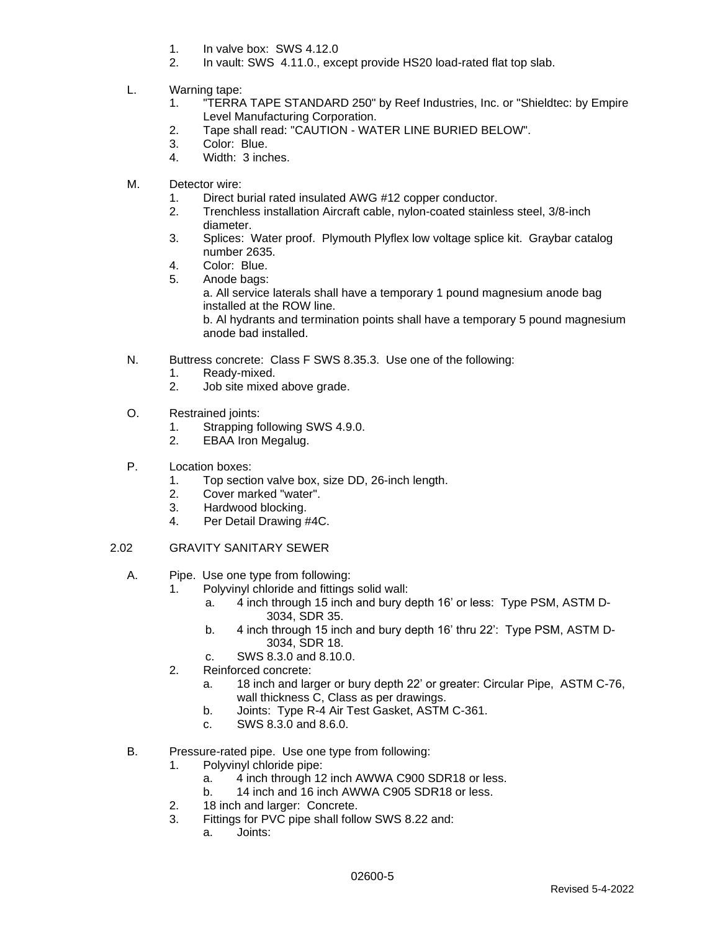- 1. In valve box: SWS 4.12.0
- 2. In vault: SWS 4.11.0., except provide HS20 load-rated flat top slab.
- L. Warning tape:
	- 1. "TERRA TAPE STANDARD 250" by Reef Industries, Inc. or "Shieldtec: by Empire Level Manufacturing Corporation.
	- 2. Tape shall read: "CAUTION WATER LINE BURIED BELOW".
	- 3. Color: Blue.
	- 4. Width: 3 inches.
- M. Detector wire:
	- 1. Direct burial rated insulated AWG #12 copper conductor.
	- 2. Trenchless installation Aircraft cable, nylon-coated stainless steel, 3/8-inch diameter.
	- 3. Splices: Water proof. Plymouth Plyflex low voltage splice kit. Graybar catalog number 2635.
	- 4. Color: Blue.
	- 5. Anode bags:
		- a. All service laterals shall have a temporary 1 pound magnesium anode bag installed at the ROW line.

b. Al hydrants and termination points shall have a temporary 5 pound magnesium anode bad installed.

- N. Buttress concrete: Class F SWS 8.35.3. Use one of the following:
	- 1. Ready-mixed.
	- 2. Job site mixed above grade.
- O. Restrained joints:
	- 1. Strapping following SWS 4.9.0.
	- 2. EBAA Iron Megalug.
- P. Location boxes:
	- 1. Top section valve box, size DD, 26-inch length.
	- 2. Cover marked "water".
	- 3. Hardwood blocking.
	- 4. Per Detail Drawing #4C.
- 2.02 GRAVITY SANITARY SEWER
	- A. Pipe. Use one type from following:
		- 1. Polyvinyl chloride and fittings solid wall:
			- a. 4 inch through 15 inch and bury depth 16' or less: Type PSM, ASTM D-3034, SDR 35.
			- b. 4 inch through 15 inch and bury depth 16' thru 22': Type PSM, ASTM D-3034, SDR 18.
			- c. SWS 8.3.0 and 8.10.0.
		- 2. Reinforced concrete:
			- a. 18 inch and larger or bury depth 22' or greater: Circular Pipe, ASTM C-76, wall thickness C, Class as per drawings.
			- b. Joints: Type R-4 Air Test Gasket, ASTM C-361.
			- c. SWS 8.3.0 and 8.6.0.
	- B. Pressure-rated pipe. Use one type from following:
		- 1. Polyvinyl chloride pipe:
			- a. 4 inch through 12 inch AWWA C900 SDR18 or less.
			- b. 14 inch and 16 inch AWWA C905 SDR18 or less.
		- 2. 18 inch and larger: Concrete.
		- 3. Fittings for PVC pipe shall follow SWS 8.22 and:
			- a. Joints: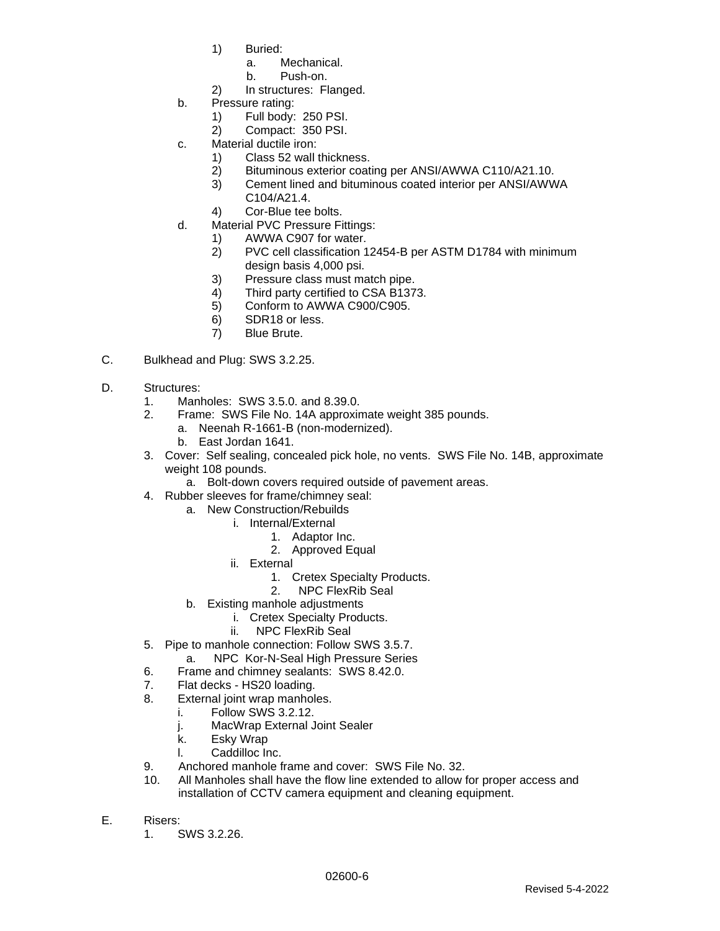- 1) Buried:
	- a. Mechanical.
	- b. Push-on.
- 2) In structures: Flanged.
- b. Pressure rating:
	- 1) Full body: 250 PSI.
	- 2) Compact: 350 PSI.
- c. Material ductile iron:
	- 1) Class 52 wall thickness.
	- 2) Bituminous exterior coating per ANSI/AWWA C110/A21.10.
	- 3) Cement lined and bituminous coated interior per ANSI/AWWA C104/A21.4.
	- 4) Cor-Blue tee bolts.
- d. Material PVC Pressure Fittings:
	- 1) AWWA C907 for water.
	- 2) PVC cell classification 12454-B per ASTM D1784 with minimum design basis 4,000 psi.
	- 3) Pressure class must match pipe.
	- 4) Third party certified to CSA B1373.
	- 5) Conform to AWWA C900/C905.
	- 6) SDR18 or less.
	- 7) Blue Brute.
- C. Bulkhead and Plug: SWS 3.2.25.
- D. Structures:
	- 1. Manholes: SWS 3.5.0. and 8.39.0.
	- 2. Frame: SWS File No. 14A approximate weight 385 pounds.
		- a. Neenah R-1661-B (non-modernized).
		- b. East Jordan 1641.
	- 3. Cover: Self sealing, concealed pick hole, no vents. SWS File No. 14B, approximate weight 108 pounds.
		- a. Bolt-down covers required outside of pavement areas.
	- 4. Rubber sleeves for frame/chimney seal:
		- a. New Construction/Rebuilds
			- i. Internal/External
				- 1. Adaptor Inc.
					- 2. Approved Equal
			- ii. External
				- 1. Cretex Specialty Products.
				- 2. NPC FlexRib Seal
		- b. Existing manhole adjustments
			- i. Cretex Specialty Products.
			- ii. NPC FlexRib Seal
	- 5. Pipe to manhole connection: Follow SWS 3.5.7.
		- a. NPC Kor-N-Seal High Pressure Series
	- 6. Frame and chimney sealants: SWS 8.42.0.
	- 7. Flat decks HS20 loading.
	- 8. External joint wrap manholes.
		- i. Follow SWS 3.2.12.
		- j. MacWrap External Joint Sealer
		- k. Esky Wrap
		- l. Caddilloc Inc.
	- 9. Anchored manhole frame and cover: SWS File No. 32.
	- 10. All Manholes shall have the flow line extended to allow for proper access and installation of CCTV camera equipment and cleaning equipment.
- E. Risers:
	- 1. SWS 3.2.26.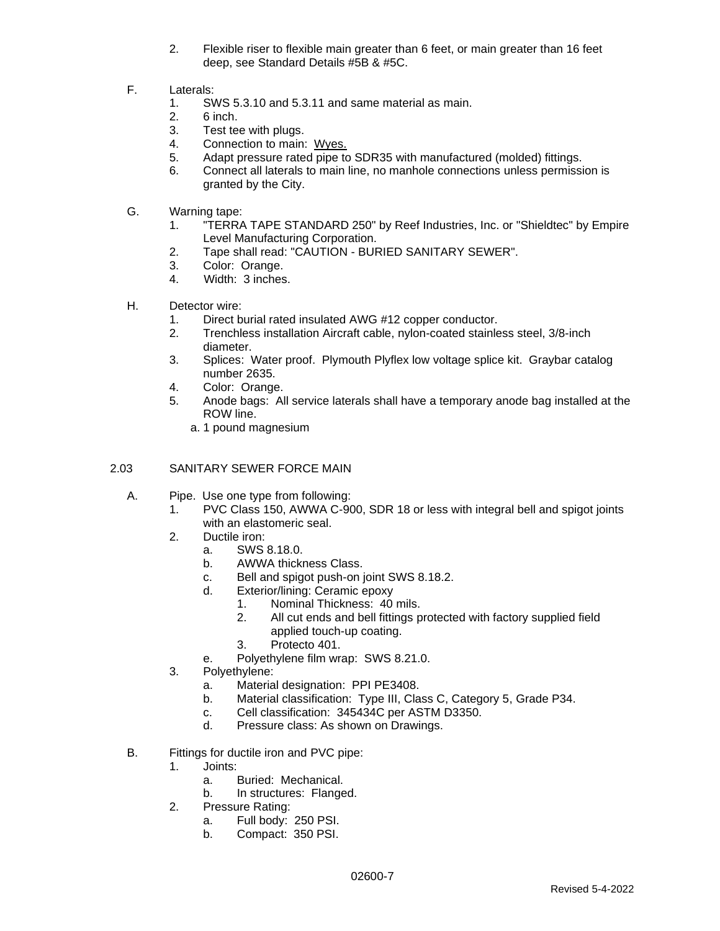- 2. Flexible riser to flexible main greater than 6 feet, or main greater than 16 feet deep, see Standard Details #5B & #5C.
- F. Laterals:
	- 1. SWS 5.3.10 and 5.3.11 and same material as main.
	- 2. 6 inch.
	- 3. Test tee with plugs.
	- 4. Connection to main: Wyes.
	- 5. Adapt pressure rated pipe to SDR35 with manufactured (molded) fittings.
	- 6. Connect all laterals to main line, no manhole connections unless permission is granted by the City.
- G. Warning tape:
	- 1. "TERRA TAPE STANDARD 250" by Reef Industries, Inc. or "Shieldtec" by Empire Level Manufacturing Corporation.
	- 2. Tape shall read: "CAUTION BURIED SANITARY SEWER".
	- 3. Color: Orange.
	- 4. Width: 3 inches.
- H. Detector wire:
	- 1. Direct burial rated insulated AWG #12 copper conductor.
	- 2. Trenchless installation Aircraft cable, nylon-coated stainless steel, 3/8-inch diameter.
	- 3. Splices: Water proof. Plymouth Plyflex low voltage splice kit. Graybar catalog number 2635.
	- 4. Color: Orange.
	- 5. Anode bags: All service laterals shall have a temporary anode bag installed at the ROW line.
		- a. 1 pound magnesium

#### 2.03 SANITARY SEWER FORCE MAIN

- A. Pipe. Use one type from following:
	- 1. PVC Class 150, AWWA C-900, SDR 18 or less with integral bell and spigot joints with an elastomeric seal.
	- 2. Ductile iron:
		- a. SWS 8.18.0.
		- b. AWWA thickness Class.
		- c. Bell and spigot push-on joint SWS 8.18.2.
		- d. Exterior/lining: Ceramic epoxy
			- 1. Nominal Thickness: 40 mils.
			- 2. All cut ends and bell fittings protected with factory supplied field applied touch-up coating.
			- 3. Protecto 401.
		- e. Polyethylene film wrap: SWS 8.21.0.
	- 3. Polyethylene:
		- a. Material designation: PPI PE3408.
		- b. Material classification: Type III, Class C, Category 5, Grade P34.
		- c. Cell classification: 345434C per ASTM D3350.
		- d. Pressure class: As shown on Drawings.
- B. Fittings for ductile iron and PVC pipe:
	- 1. Joints:
		- a. Buried: Mechanical.
		- b. In structures: Flanged.
	- 2. Pressure Rating:
		- a. Full body: 250 PSI.
		- b. Compact: 350 PSI.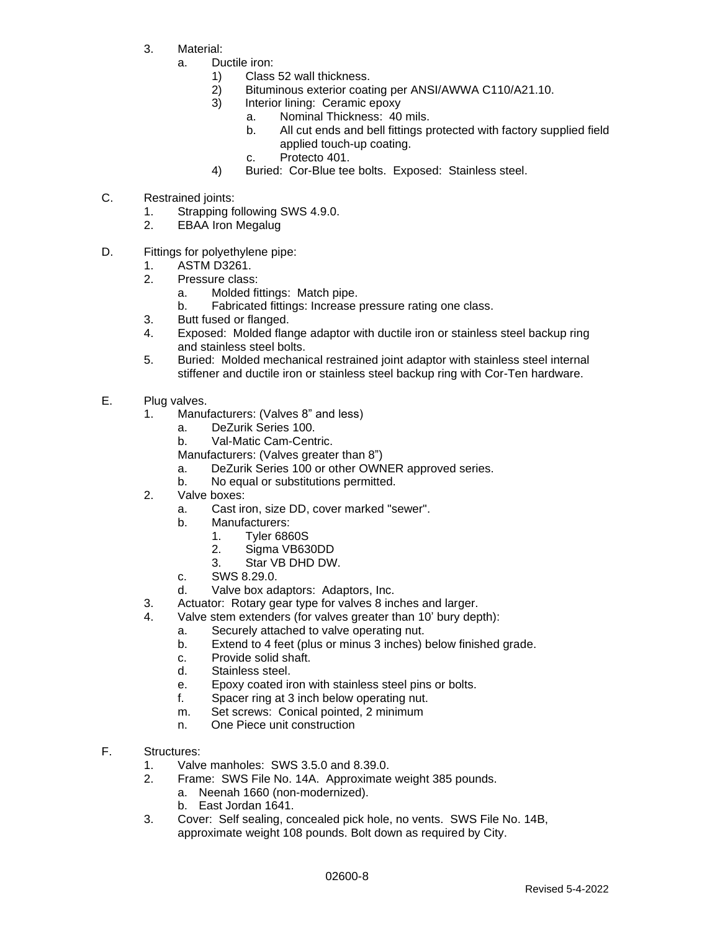- 3. Material:
	- a. Ductile iron:
		- 1) Class 52 wall thickness.
			- 2) Bituminous exterior coating per ANSI/AWWA C110/A21.10.
			- 3) Interior lining: Ceramic epoxy
				- a. Nominal Thickness: 40 mils.
				- b. All cut ends and bell fittings protected with factory supplied field applied touch-up coating.
				- c. Protecto 401.
			- 4) Buried: Cor-Blue tee bolts. Exposed: Stainless steel.
- C. Restrained joints:
	- 1. Strapping following SWS 4.9.0.
	- 2. EBAA Iron Megalug
- D. Fittings for polyethylene pipe:
	- 1. ASTM D3261.
		- 2. Pressure class:
			- a. Molded fittings: Match pipe.
			- b. Fabricated fittings: Increase pressure rating one class.
		- 3. Butt fused or flanged.
		- 4. Exposed: Molded flange adaptor with ductile iron or stainless steel backup ring and stainless steel bolts.
		- 5. Buried: Molded mechanical restrained joint adaptor with stainless steel internal stiffener and ductile iron or stainless steel backup ring with Cor-Ten hardware.
- E. Plug valves.
	- 1. Manufacturers: (Valves 8" and less)
		- a. DeZurik Series 100.
		- b. Val-Matic Cam-Centric.
		- Manufacturers: (Valves greater than 8")
		- a. DeZurik Series 100 or other OWNER approved series.
		- b. No equal or substitutions permitted.
	- 2. Valve boxes:
		- a. Cast iron, size DD, cover marked "sewer".
		- b. Manufacturers:
			- 1. Tyler 6860S
			- 2. Sigma VB630DD
			- 3. Star VB DHD DW.
		- c. SWS 8.29.0.
		- d. Valve box adaptors: Adaptors, Inc.
	- 3. Actuator: Rotary gear type for valves 8 inches and larger.
	- 4. Valve stem extenders (for valves greater than 10' bury depth):
		- a. Securely attached to valve operating nut.
		- b. Extend to 4 feet (plus or minus 3 inches) below finished grade.
		- c. Provide solid shaft.
		- d. Stainless steel.
		- e. Epoxy coated iron with stainless steel pins or bolts.
		- f. Spacer ring at 3 inch below operating nut.
		- m. Set screws: Conical pointed, 2 minimum
		- n. One Piece unit construction
- F. Structures:
	- 1. Valve manholes: SWS 3.5.0 and 8.39.0.
	- 2. Frame: SWS File No. 14A. Approximate weight 385 pounds.
		- a. Neenah 1660 (non-modernized).
		- b. East Jordan 1641.
	- 3. Cover: Self sealing, concealed pick hole, no vents. SWS File No. 14B, approximate weight 108 pounds. Bolt down as required by City.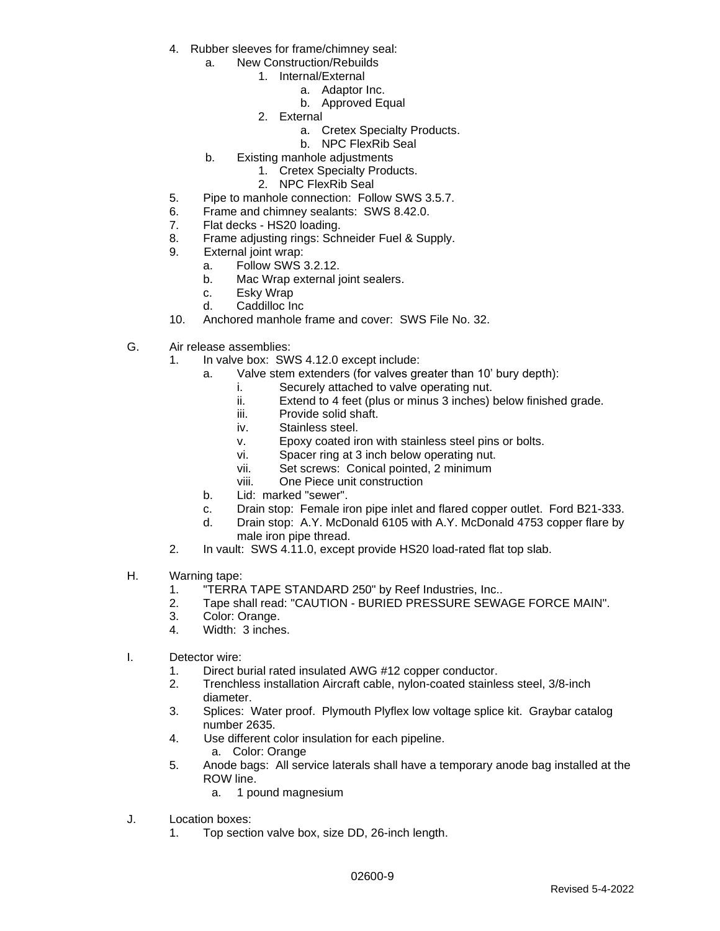- 4. Rubber sleeves for frame/chimney seal:
	- a. New Construction/Rebuilds
		- 1. Internal/External
			- a. Adaptor Inc.
				- b. Approved Equal
			- 2. External
				- a. Cretex Specialty Products.
				- b. NPC FlexRib Seal
	- b. Existing manhole adjustments
		- 1. Cretex Specialty Products.
		- 2. NPC FlexRib Seal
- 5. Pipe to manhole connection: Follow SWS 3.5.7.
- 6. Frame and chimney sealants: SWS 8.42.0.
- 7. Flat decks HS20 loading.
- 8. Frame adjusting rings: Schneider Fuel & Supply.
- 9. External joint wrap:
	- a. Follow SWS 3.2.12.
	- b. Mac Wrap external joint sealers.
	- c. Esky Wrap
	- d. Caddilloc Inc
- 10. Anchored manhole frame and cover: SWS File No. 32.
- G. Air release assemblies:
	- 1. In valve box: SWS 4.12.0 except include:
		- a. Valve stem extenders (for valves greater than 10' bury depth):
			- i. Securely attached to valve operating nut.
			- ii. Extend to 4 feet (plus or minus 3 inches) below finished grade.
			- iii. Provide solid shaft.
			- iv. Stainless steel.
			- v. Epoxy coated iron with stainless steel pins or bolts.
			- vi. Spacer ring at 3 inch below operating nut.
			- vii. Set screws: Conical pointed, 2 minimum
			- viii. One Piece unit construction
		- b. Lid: marked "sewer".
		- c. Drain stop: Female iron pipe inlet and flared copper outlet. Ford B21-333.
		- d. Drain stop: A.Y. McDonald 6105 with A.Y. McDonald 4753 copper flare by male iron pipe thread.
	- 2. In vault: SWS 4.11.0, except provide HS20 load-rated flat top slab.
- H. Warning tape:
	- 1. "TERRA TAPE STANDARD 250" by Reef Industries, Inc..
	- 2. Tape shall read: "CAUTION BURIED PRESSURE SEWAGE FORCE MAIN".
	- 3. Color: Orange.
	- 4. Width: 3 inches.
- I. Detector wire:
	- 1. Direct burial rated insulated AWG #12 copper conductor.
	- 2. Trenchless installation Aircraft cable, nylon-coated stainless steel, 3/8-inch diameter.
	- 3. Splices: Water proof. Plymouth Plyflex low voltage splice kit. Graybar catalog number 2635.
	- 4. Use different color insulation for each pipeline.
		- a. Color: Orange
	- 5. Anode bags: All service laterals shall have a temporary anode bag installed at the ROW line.
		- a. 1 pound magnesium
- J. Location boxes:
	- 1. Top section valve box, size DD, 26-inch length.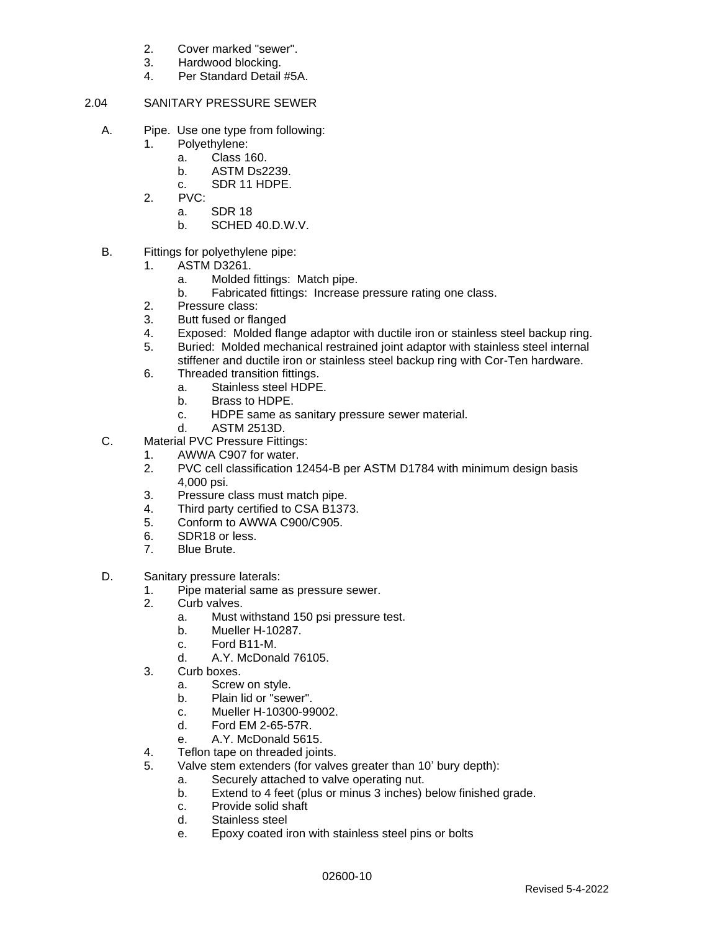- 2. Cover marked "sewer".
- 3. Hardwood blocking.
- 4. Per Standard Detail #5A.

### 2.04 SANITARY PRESSURE SEWER

- A. Pipe. Use one type from following:
	- 1. Polyethylene:
		- a. Class 160.
		- b. ASTM Ds2239.
		- c. SDR 11 HDPE.
	- 2. PVC:
		- a. SDR 18
		- b. SCHED 40.D.W.V.
- B. Fittings for polyethylene pipe:
	- 1. ASTM D3261.
		- a. Molded fittings: Match pipe.
		- b. Fabricated fittings: Increase pressure rating one class.
	- 2. Pressure class:
	- 3. Butt fused or flanged
	- 4. Exposed: Molded flange adaptor with ductile iron or stainless steel backup ring.
	- 5. Buried: Molded mechanical restrained joint adaptor with stainless steel internal stiffener and ductile iron or stainless steel backup ring with Cor-Ten hardware.
	- 6. Threaded transition fittings.
		- a. Stainless steel HDPE.
		- b. Brass to HDPE.
		- c. HDPE same as sanitary pressure sewer material.
		- d. ASTM 2513D.
- C. Material PVC Pressure Fittings:
	- 1. AWWA C907 for water.
	- 2. PVC cell classification 12454-B per ASTM D1784 with minimum design basis 4,000 psi.
	- 3. Pressure class must match pipe.
	- 4. Third party certified to CSA B1373.
	- 5. Conform to AWWA C900/C905.
	- 6. SDR18 or less.
	- 7. Blue Brute.
- D. Sanitary pressure laterals:
	- 1. Pipe material same as pressure sewer.
	- 2. Curb valves.
		- a. Must withstand 150 psi pressure test.
		- b. Mueller H-10287.
		- c. Ford B11-M.
		- d. A.Y. McDonald 76105.
	- 3. Curb boxes.
		- a. Screw on style.
		- b. Plain lid or "sewer".
		- c. Mueller H-10300-99002.
		- d. Ford EM 2-65-57R.
		- e. A.Y. McDonald 5615.
	- 4. Teflon tape on threaded joints.
	- 5. Valve stem extenders (for valves greater than 10' bury depth):
		- a. Securely attached to valve operating nut.
		- b. Extend to 4 feet (plus or minus 3 inches) below finished grade.
		- c. Provide solid shaft
		- d. Stainless steel
		- e. Epoxy coated iron with stainless steel pins or bolts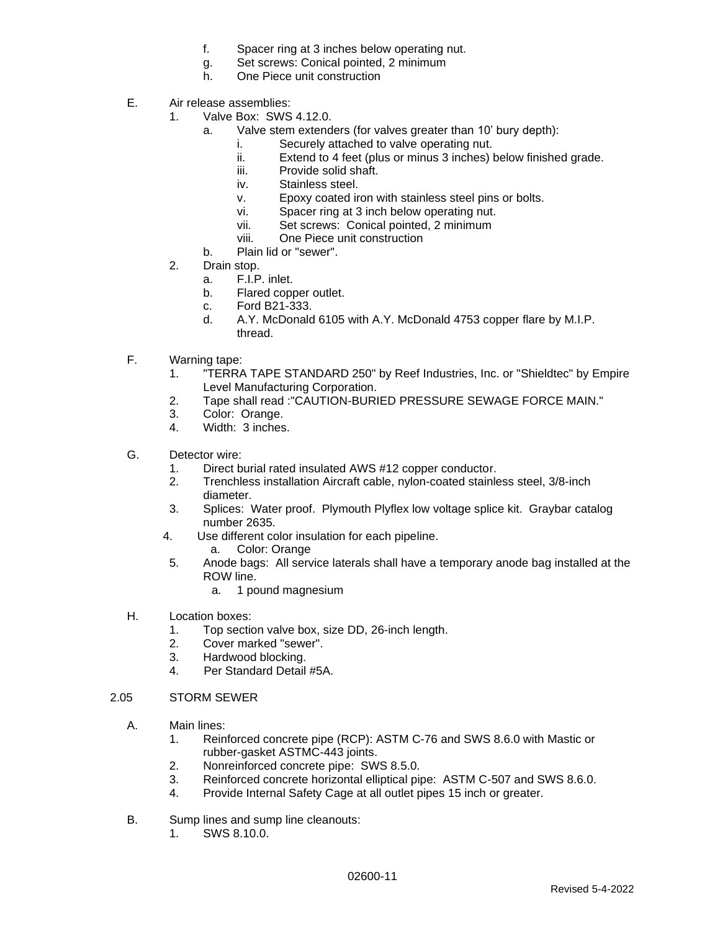- f. Spacer ring at 3 inches below operating nut.
- g. Set screws: Conical pointed, 2 minimum
- h. One Piece unit construction
- E. Air release assemblies:
	- 1. Valve Box: SWS 4.12.0.
		- a. Valve stem extenders (for valves greater than 10' bury depth):
			- i. Securely attached to valve operating nut.
			- ii. Extend to 4 feet (plus or minus 3 inches) below finished grade.
			- iii. Provide solid shaft.
			- iv. Stainless steel.
			- v. Epoxy coated iron with stainless steel pins or bolts.
			- vi. Spacer ring at 3 inch below operating nut.
			- vii. Set screws: Conical pointed, 2 minimum
			- viii. One Piece unit construction
		- b. Plain lid or "sewer".
	- 2. Drain stop.
		- a. F.I.P. inlet.
		- b. Flared copper outlet.
		- c. Ford B21-333.
		- d. A.Y. McDonald 6105 with A.Y. McDonald 4753 copper flare by M.I.P. thread.
- F. Warning tape:
	- 1. "TERRA TAPE STANDARD 250" by Reef Industries, Inc. or "Shieldtec" by Empire Level Manufacturing Corporation.
	- 2. Tape shall read :"CAUTION-BURIED PRESSURE SEWAGE FORCE MAIN."
	- 3. Color: Orange.
	- 4. Width: 3 inches.
- G. Detector wire:
	- 1. Direct burial rated insulated AWS #12 copper conductor.
	- 2. Trenchless installation Aircraft cable, nylon-coated stainless steel, 3/8-inch diameter.
	- 3. Splices: Water proof. Plymouth Plyflex low voltage splice kit. Graybar catalog number 2635.
	- 4. Use different color insulation for each pipeline.
		- a. Color: Orange
	- 5. Anode bags: All service laterals shall have a temporary anode bag installed at the ROW line.
		- a. 1 pound magnesium
- H. Location boxes:
	- 1. Top section valve box, size DD, 26-inch length.
	- 2. Cover marked "sewer".
	- 3. Hardwood blocking.
	- 4. Per Standard Detail #5A.

#### 2.05 STORM SEWER

- A. Main lines:
	- 1. Reinforced concrete pipe (RCP): ASTM C-76 and SWS 8.6.0 with Mastic or rubber-gasket ASTMC-443 joints.
	- 2. Nonreinforced concrete pipe: SWS 8.5.0.
	- 3. Reinforced concrete horizontal elliptical pipe: ASTM C-507 and SWS 8.6.0.
	- 4. Provide Internal Safety Cage at all outlet pipes 15 inch or greater.
- B. Sump lines and sump line cleanouts:
	- 1. SWS 8.10.0.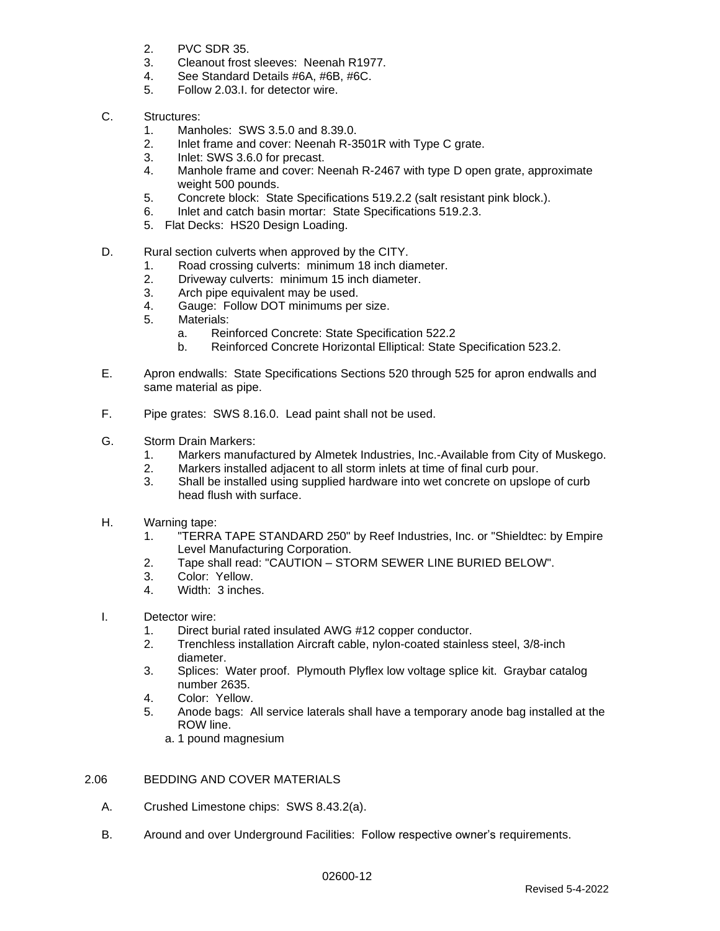- 2. PVC SDR 35.
- 3. Cleanout frost sleeves: Neenah R1977.
- 4. See Standard Details #6A, #6B, #6C.
- 5. Follow 2.03.I. for detector wire.
- C. Structures:
	- 1. Manholes: SWS 3.5.0 and 8.39.0.
	- 2. Inlet frame and cover: Neenah R-3501R with Type C grate.
	- 3. Inlet: SWS 3.6.0 for precast.
	- 4. Manhole frame and cover: Neenah R-2467 with type D open grate, approximate weight 500 pounds.
	- 5. Concrete block: State Specifications 519.2.2 (salt resistant pink block.).
	- 6. Inlet and catch basin mortar: State Specifications 519.2.3.
	- 5. Flat Decks: HS20 Design Loading.
- D. Rural section culverts when approved by the CITY.
	- 1. Road crossing culverts: minimum 18 inch diameter.
	- 2. Driveway culverts: minimum 15 inch diameter.
	- 3. Arch pipe equivalent may be used.
	- 4. Gauge: Follow DOT minimums per size.
	- 5. Materials:
		- a. Reinforced Concrete: State Specification 522.2
		- b. Reinforced Concrete Horizontal Elliptical: State Specification 523.2.
- E. Apron endwalls: State Specifications Sections 520 through 525 for apron endwalls and same material as pipe.
- F. Pipe grates: SWS 8.16.0. Lead paint shall not be used.
- G. Storm Drain Markers:
	- 1. Markers manufactured by Almetek Industries, Inc.-Available from City of Muskego.
	- 2. Markers installed adjacent to all storm inlets at time of final curb pour.
	- 3. Shall be installed using supplied hardware into wet concrete on upslope of curb head flush with surface.
- H. Warning tape:
	- 1. "TERRA TAPE STANDARD 250" by Reef Industries, Inc. or "Shieldtec: by Empire Level Manufacturing Corporation.
	- 2. Tape shall read: "CAUTION STORM SEWER LINE BURIED BELOW".
	- 3. Color: Yellow.
	- 4. Width: 3 inches.
- I. Detector wire:
	- 1. Direct burial rated insulated AWG #12 copper conductor.
	- 2. Trenchless installation Aircraft cable, nylon-coated stainless steel, 3/8-inch diameter.
	- 3. Splices: Water proof. Plymouth Plyflex low voltage splice kit. Graybar catalog number 2635.
	- 4. Color: Yellow.
	- 5. Anode bags: All service laterals shall have a temporary anode bag installed at the ROW line.
		- a. 1 pound magnesium
- 2.06 BEDDING AND COVER MATERIALS
	- A. Crushed Limestone chips: SWS 8.43.2(a).
	- B. Around and over Underground Facilities: Follow respective owner's requirements.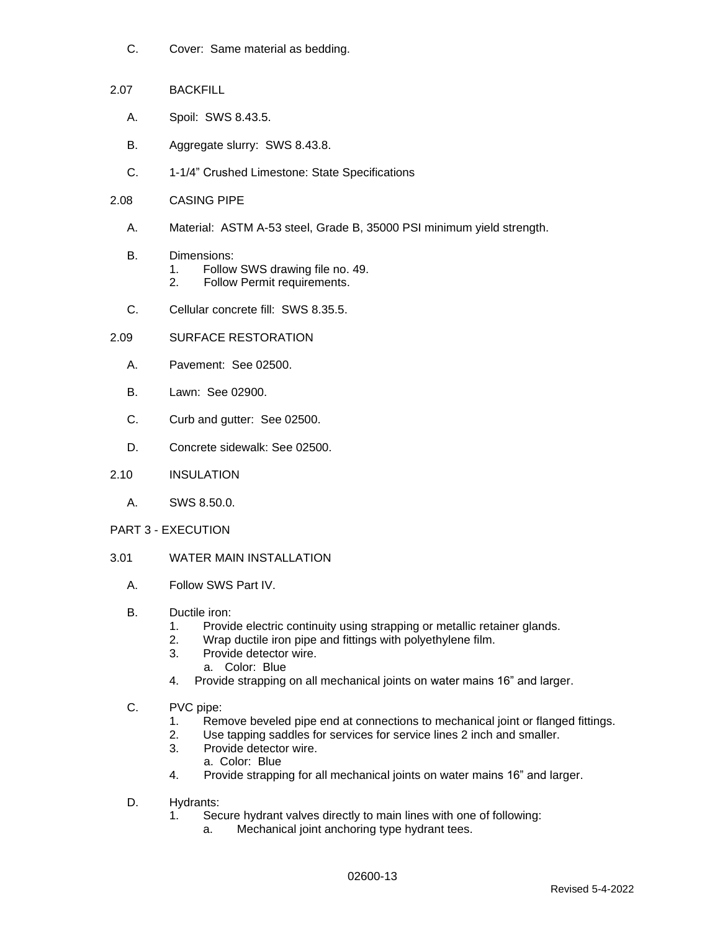- C. Cover: Same material as bedding.
- 2.07 BACKFILL
	- A. Spoil: SWS 8.43.5.
	- B. Aggregate slurry: SWS 8.43.8.
	- C. 1-1/4" Crushed Limestone: State Specifications
- 2.08 CASING PIPE
	- A. Material: ASTM A-53 steel, Grade B, 35000 PSI minimum yield strength.
	- B. Dimensions:
		- 1. Follow SWS drawing file no. 49.
		- 2. Follow Permit requirements.
	- C. Cellular concrete fill: SWS 8.35.5.

## 2.09 SURFACE RESTORATION

- A. Pavement: See 02500.
- B. Lawn: See 02900.
- C. Curb and gutter: See 02500.
- D. Concrete sidewalk: See 02500.
- 2.10 INSULATION
	- A. SWS 8.50.0.

## PART 3 - EXECUTION

- 3.01 WATER MAIN INSTALLATION
	- A. Follow SWS Part IV.

## B. Ductile iron:

- 1. Provide electric continuity using strapping or metallic retainer glands.
- 2. Wrap ductile iron pipe and fittings with polyethylene film.
- 3. Provide detector wire.
	- a. Color: Blue
- 4. Provide strapping on all mechanical joints on water mains 16" and larger.
- C. PVC pipe:
	- 1. Remove beveled pipe end at connections to mechanical joint or flanged fittings.
	- 2. Use tapping saddles for services for service lines 2 inch and smaller.
	- 3. Provide detector wire.
		- a. Color: Blue
	- 4. Provide strapping for all mechanical joints on water mains 16" and larger.
- D. Hydrants:
	- 1. Secure hydrant valves directly to main lines with one of following:
		- a. Mechanical joint anchoring type hydrant tees.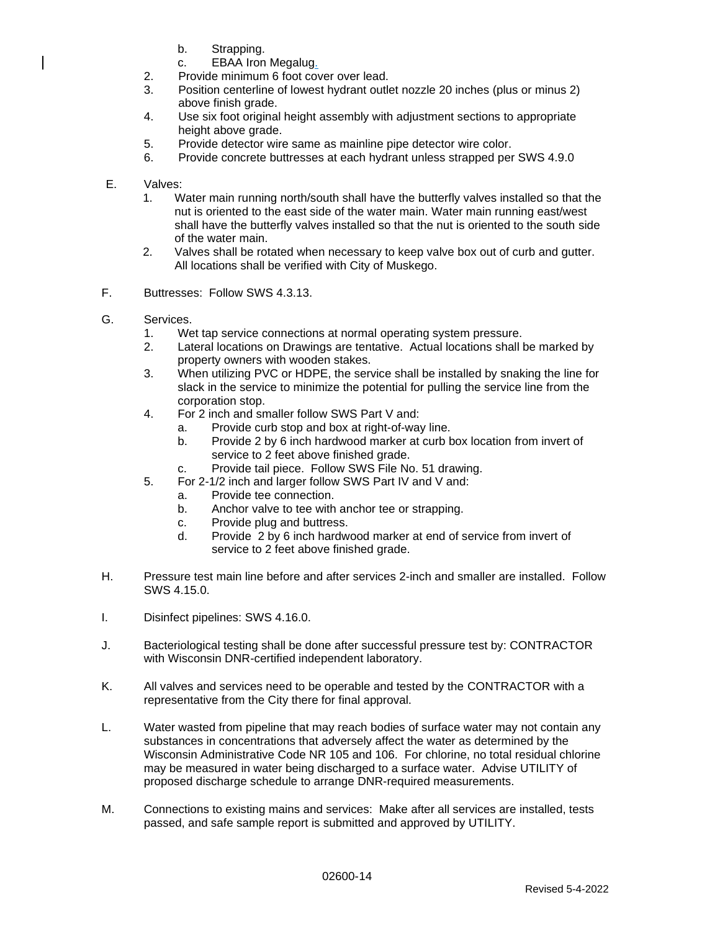- b. Strapping.
- c. EBAA Iron Megalug.
- 2. Provide minimum 6 foot cover over lead.
- 3. Position centerline of lowest hydrant outlet nozzle 20 inches (plus or minus 2) above finish grade.
- 4. Use six foot original height assembly with adjustment sections to appropriate height above grade.
- 5. Provide detector wire same as mainline pipe detector wire color.
- 6. Provide concrete buttresses at each hydrant unless strapped per SWS 4.9.0
- E. Valves:
	- 1. Water main running north/south shall have the butterfly valves installed so that the nut is oriented to the east side of the water main. Water main running east/west shall have the butterfly valves installed so that the nut is oriented to the south side of the water main.
	- 2. Valves shall be rotated when necessary to keep valve box out of curb and gutter. All locations shall be verified with City of Muskego.
- F. Buttresses: Follow SWS 4.3.13.
- G. Services.
	- 1. Wet tap service connections at normal operating system pressure.
	- 2. Lateral locations on Drawings are tentative. Actual locations shall be marked by property owners with wooden stakes.
	- 3. When utilizing PVC or HDPE, the service shall be installed by snaking the line for slack in the service to minimize the potential for pulling the service line from the corporation stop.
	- 4. For 2 inch and smaller follow SWS Part V and:
		- a. Provide curb stop and box at right-of-way line.
		- b. Provide 2 by 6 inch hardwood marker at curb box location from invert of service to 2 feet above finished grade.
		- c. Provide tail piece. Follow SWS File No. 51 drawing.
	- 5. For 2-1/2 inch and larger follow SWS Part IV and V and:
		- a. Provide tee connection.
		- b. Anchor valve to tee with anchor tee or strapping.
		- c. Provide plug and buttress.
		- d. Provide 2 by 6 inch hardwood marker at end of service from invert of service to 2 feet above finished grade.
- H. Pressure test main line before and after services 2-inch and smaller are installed. Follow SWS 4.15.0.
- I. Disinfect pipelines: SWS 4.16.0.
- J. Bacteriological testing shall be done after successful pressure test by: CONTRACTOR with Wisconsin DNR-certified independent laboratory.
- K. All valves and services need to be operable and tested by the CONTRACTOR with a representative from the City there for final approval.
- L. Water wasted from pipeline that may reach bodies of surface water may not contain any substances in concentrations that adversely affect the water as determined by the Wisconsin Administrative Code NR 105 and 106. For chlorine, no total residual chlorine may be measured in water being discharged to a surface water. Advise UTILITY of proposed discharge schedule to arrange DNR-required measurements.
- M. Connections to existing mains and services: Make after all services are installed, tests passed, and safe sample report is submitted and approved by UTILITY.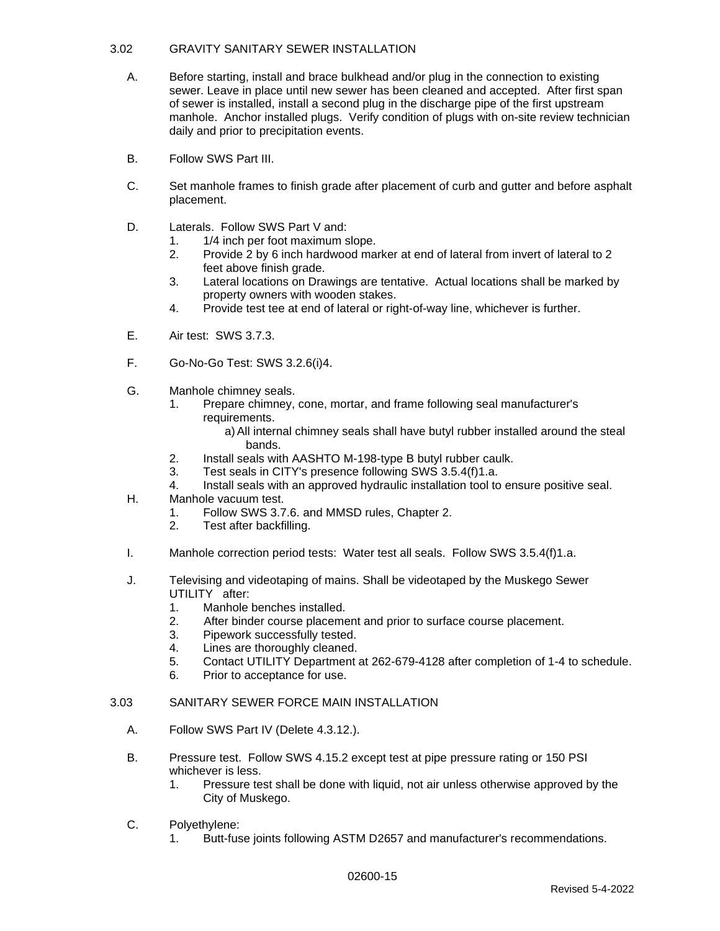## 3.02 GRAVITY SANITARY SEWER INSTALLATION

- A. Before starting, install and brace bulkhead and/or plug in the connection to existing sewer. Leave in place until new sewer has been cleaned and accepted. After first span of sewer is installed, install a second plug in the discharge pipe of the first upstream manhole. Anchor installed plugs. Verify condition of plugs with on-site review technician daily and prior to precipitation events.
- B. Follow SWS Part III.
- C. Set manhole frames to finish grade after placement of curb and gutter and before asphalt placement.
- D. Laterals. Follow SWS Part V and:
	- 1. 1/4 inch per foot maximum slope.
	- 2. Provide 2 by 6 inch hardwood marker at end of lateral from invert of lateral to 2 feet above finish grade.
	- 3. Lateral locations on Drawings are tentative. Actual locations shall be marked by property owners with wooden stakes.
	- 4. Provide test tee at end of lateral or right-of-way line, whichever is further.
- E. Air test: SWS 3.7.3.
- F. Go-No-Go Test: SWS 3.2.6(i)4.
- G. Manhole chimney seals.
	- 1. Prepare chimney, cone, mortar, and frame following seal manufacturer's requirements.
		- a)All internal chimney seals shall have butyl rubber installed around the steal bands.
	- 2. Install seals with AASHTO M-198-type B butyl rubber caulk.
	- 3. Test seals in CITY's presence following SWS 3.5.4(f)1.a.
	- 4. Install seals with an approved hydraulic installation tool to ensure positive seal.
- H. Manhole vacuum test.
	- 1. Follow SWS 3.7.6. and MMSD rules, Chapter 2.
	- 2. Test after backfilling.
- I. Manhole correction period tests: Water test all seals. Follow SWS 3.5.4(f)1.a.
- J. Televising and videotaping of mains. Shall be videotaped by the Muskego Sewer UTILITY after:
	- 1. Manhole benches installed.
	- 2. After binder course placement and prior to surface course placement.
	- 3. Pipework successfully tested.
	- 4. Lines are thoroughly cleaned.
	- 5. Contact UTILITY Department at 262-679-4128 after completion of 1-4 to schedule.
	- 6. Prior to acceptance for use.

#### 3.03 SANITARY SEWER FORCE MAIN INSTALLATION

- A. Follow SWS Part IV (Delete 4.3.12.).
- B. Pressure test. Follow SWS 4.15.2 except test at pipe pressure rating or 150 PSI whichever is less.
	- 1. Pressure test shall be done with liquid, not air unless otherwise approved by the City of Muskego.
- C. Polyethylene:
	- 1. Butt-fuse joints following ASTM D2657 and manufacturer's recommendations.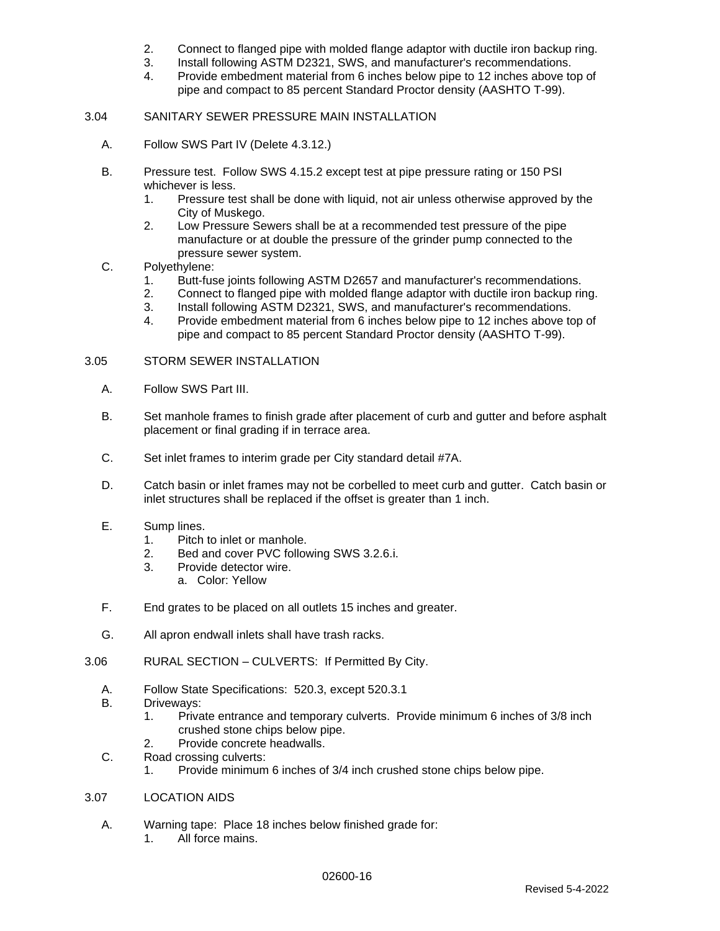- 2. Connect to flanged pipe with molded flange adaptor with ductile iron backup ring.
- 3. Install following ASTM D2321, SWS, and manufacturer's recommendations.
- 4. Provide embedment material from 6 inches below pipe to 12 inches above top of pipe and compact to 85 percent Standard Proctor density (AASHTO T-99).

### 3.04 SANITARY SEWER PRESSURE MAIN INSTALLATION

- A. Follow SWS Part IV (Delete 4.3.12.)
- B. Pressure test. Follow SWS 4.15.2 except test at pipe pressure rating or 150 PSI whichever is less.
	- 1. Pressure test shall be done with liquid, not air unless otherwise approved by the City of Muskego.
	- 2. Low Pressure Sewers shall be at a recommended test pressure of the pipe manufacture or at double the pressure of the grinder pump connected to the pressure sewer system.
- C. Polyethylene:
	- 1. Butt-fuse joints following ASTM D2657 and manufacturer's recommendations.
	- 2. Connect to flanged pipe with molded flange adaptor with ductile iron backup ring.
	- 3. Install following ASTM D2321, SWS, and manufacturer's recommendations.
	- 4. Provide embedment material from 6 inches below pipe to 12 inches above top of pipe and compact to 85 percent Standard Proctor density (AASHTO T-99).

#### 3.05 STORM SEWER INSTALLATION

- A. Follow SWS Part III.
- B. Set manhole frames to finish grade after placement of curb and gutter and before asphalt placement or final grading if in terrace area.
- C. Set inlet frames to interim grade per City standard detail #7A.
- D. Catch basin or inlet frames may not be corbelled to meet curb and gutter. Catch basin or inlet structures shall be replaced if the offset is greater than 1 inch.
- E. Sump lines.
	- 1. Pitch to inlet or manhole.
	- 2. Bed and cover PVC following SWS 3.2.6.i.
	- 3. Provide detector wire.
		- a. Color: Yellow
- F. End grates to be placed on all outlets 15 inches and greater.
- G. All apron endwall inlets shall have trash racks.
- 3.06 RURAL SECTION CULVERTS: If Permitted By City.
	- A. Follow State Specifications: 520.3, except 520.3.1
	- B. Driveways:
		- 1. Private entrance and temporary culverts. Provide minimum 6 inches of 3/8 inch crushed stone chips below pipe.
		- 2. Provide concrete headwalls.
	- C. Road crossing culverts:
		- 1. Provide minimum 6 inches of 3/4 inch crushed stone chips below pipe.

#### 3.07 LOCATION AIDS

- A. Warning tape: Place 18 inches below finished grade for:
	- 1. All force mains.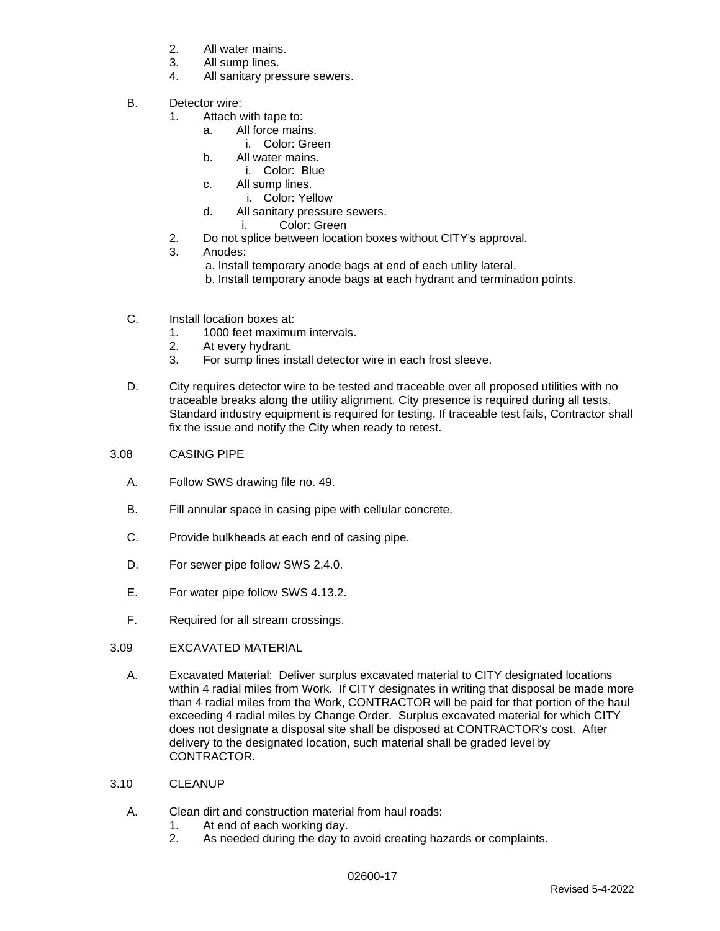- 2. All water mains.
- 3. All sump lines.
- 4. All sanitary pressure sewers.
- B. Detector wire:
	- 1. Attach with tape to:
		- a. All force mains.
			- i. Color: Green
		- b. All water mains.
			- i. Color: Blue
		- c. All sump lines.
			- i. Color: Yellow
		- d. All sanitary pressure sewers.
			- i. Color: Green
	- 2. Do not splice between location boxes without CITY's approval.
	- 3. Anodes:
		- a. Install temporary anode bags at end of each utility lateral.
		- b. Install temporary anode bags at each hydrant and termination points.
- C. Install location boxes at:
	- 1. 1000 feet maximum intervals.
	- 2. At every hydrant.
	- 3. For sump lines install detector wire in each frost sleeve.
- D. City requires detector wire to be tested and traceable over all proposed utilities with no traceable breaks along the utility alignment. City presence is required during all tests. Standard industry equipment is required for testing. If traceable test fails, Contractor shall fix the issue and notify the City when ready to retest.
- 3.08 CASING PIPE
	- A. Follow SWS drawing file no. 49.
	- B. Fill annular space in casing pipe with cellular concrete.
	- C. Provide bulkheads at each end of casing pipe.
	- D. For sewer pipe follow SWS 2.4.0.
	- E. For water pipe follow SWS 4.13.2.
	- F. Required for all stream crossings.

## 3.09 EXCAVATED MATERIAL

- A. Excavated Material: Deliver surplus excavated material to CITY designated locations within 4 radial miles from Work. If CITY designates in writing that disposal be made more than 4 radial miles from the Work, CONTRACTOR will be paid for that portion of the haul exceeding 4 radial miles by Change Order. Surplus excavated material for which CITY does not designate a disposal site shall be disposed at CONTRACTOR's cost. After delivery to the designated location, such material shall be graded level by CONTRACTOR.
- 3.10 CLEANUP
	- A. Clean dirt and construction material from haul roads:
		- 1. At end of each working day.
		- 2. As needed during the day to avoid creating hazards or complaints.